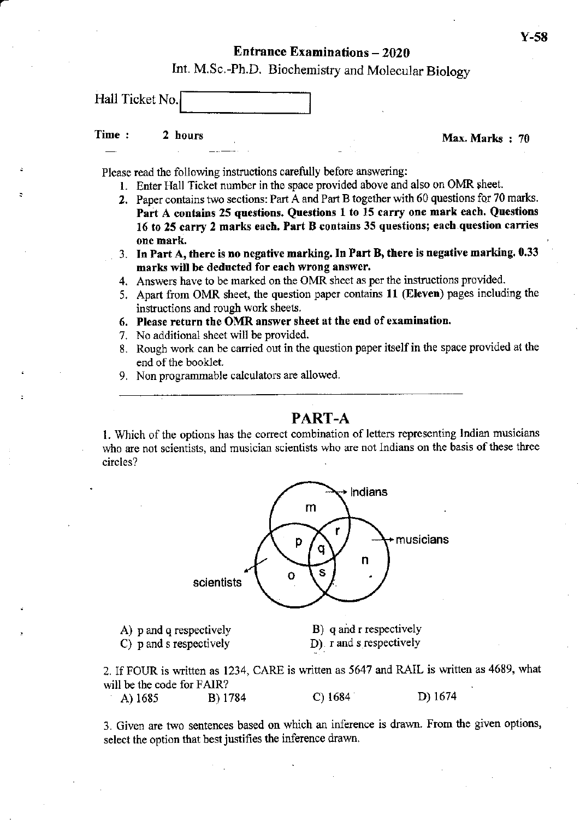# Entrance Examinations - <sup>2020</sup>

Int. M.Sc.-Ph.D. Biochemistry and Molecular Biology

Hall Ticket No.

# Time : 2 hours Max, Marks : 70

a

Please read the following instructions carefully before answering:

- l. Enter Hall Ticket number in the space provided above and also on OMR sheet.
- 2. Paper contains two sections: Part A and Part B together with 60 questions for 70 marks. Part A contains 25 questions. Questions 1 to 15 carry one mark each. Questions 16 to 25 carry 2 marks each. Part B contains 35 questions; each question carries one mark,
- 3. In Part A, there is no negative marking. In Part B, there is negative marking. 0.33 marks will be deducted for each wrong answer.
- 4. Answers have to be marked on the OMR sheet as per the instructions provided.
- 5. Apart from OMR sheet, the question paper contains 11 (Eleven) pages including the instructions and rough work sheets.
- 6. Please return the OMR answer sheet at the end of examination.
- 7. No additional sheet will be provided.
- 8. Rough work can be carried out in the question paper itself in the space provided at the end of the booklet.
- 9. Non programmable calculaiors are allowed.

## PART-A

1. Which of the options has the correct combination of letters representing Indian musicians who are not scientists, and musician scientists who are not Indians on the basis of these three circles?



A)  $p$  and  $q$  respectively C) p and s respectively

B) q and r respectively D) r and s respectively

2. If FOUR is written as 1234, CARE is written as 5647 and RAIL is written as 4689, what will be the code for FAIR?

A) <sup>1685</sup> B) <sup>1784</sup> c) <sup>1684</sup> D) 1674

3. Given are two sentences based on which an inference is drawn. From the given options, select the option that best justifies the inference drawn.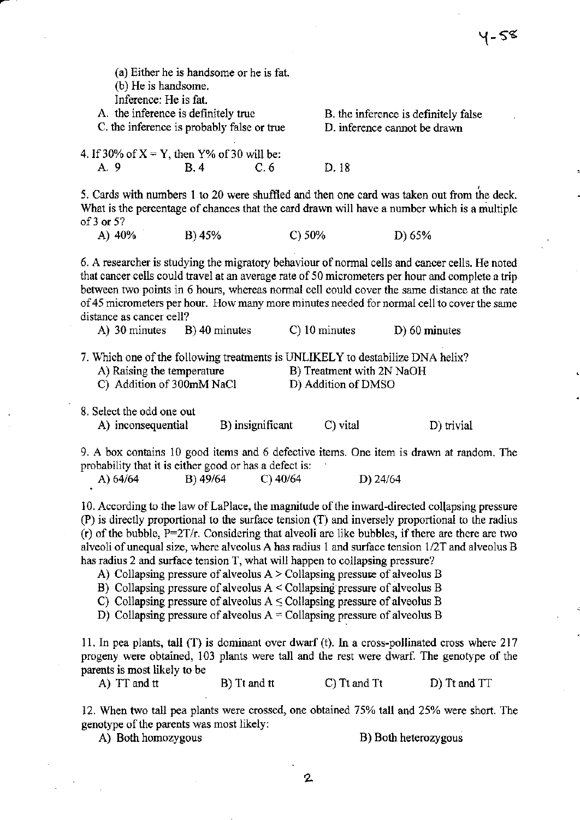| (b) He is handsome.<br>Inference: He is fat.<br>A. the inference is definitely true<br>C, the inference is probably false or true                         | (a) Either he is handsome or he is fat. |                  |                                            | B. the inference is definitely false<br>D. inference cannot be drawn                                                                                                                                                                                                                                                                                                                                              |  |
|-----------------------------------------------------------------------------------------------------------------------------------------------------------|-----------------------------------------|------------------|--------------------------------------------|-------------------------------------------------------------------------------------------------------------------------------------------------------------------------------------------------------------------------------------------------------------------------------------------------------------------------------------------------------------------------------------------------------------------|--|
| 4. If 30% of $X = Y$ , then $Y\%$ of 30 will be:                                                                                                          |                                         |                  |                                            |                                                                                                                                                                                                                                                                                                                                                                                                                   |  |
| A. 9                                                                                                                                                      | B.4                                     | C.6              | D. 18                                      |                                                                                                                                                                                                                                                                                                                                                                                                                   |  |
| of $3$ or $5$ ?                                                                                                                                           |                                         |                  |                                            | 5. Cards with numbers 1 to 20 were shuffled and then one card was taken out from the deck.<br>What is the percentage of chances that the card drawn will have a number which is a multiple                                                                                                                                                                                                                        |  |
| A) 40%                                                                                                                                                    | B) 45%                                  | C) 50%           |                                            | D) 65%                                                                                                                                                                                                                                                                                                                                                                                                            |  |
| distance as cancer cell?<br>A) 30 minutes<br>7. Which one of the following treatments is UNLIKELY to destabilize DNA helix?<br>A) Raising the temperature | B) 40 minutes                           |                  | C) 10 minutes<br>B) Treatment with 2N NaOH | 6. A researcher is studying the migratory behaviour of normal cells and cancer cells. He noted<br>that cancer cells could travel at an average rate of 50 micrometers per hour and complete a trip<br>between two points in 6 hours, whereas normal cell could cover the same distance at the rate<br>of 45 micrometers per hour. How many more minutes needed for normal cell to cover the same<br>D) 60 minutes |  |
| C) Addition of 300mM NaCl                                                                                                                                 |                                         |                  | D) Addition of DMSO                        |                                                                                                                                                                                                                                                                                                                                                                                                                   |  |
| 8. Select the odd one out<br>A) inconsequential                                                                                                           |                                         | B) insignificant | C) vital                                   | D) trivial                                                                                                                                                                                                                                                                                                                                                                                                        |  |
| probability that it is either good or has a defect is:                                                                                                    |                                         |                  |                                            | 9. A box contains 10 good items and 6 defective items. One item is drawn at random. The                                                                                                                                                                                                                                                                                                                           |  |
| A) 64/64                                                                                                                                                  | B) 49/64                                | $C)$ 40/64       | D) 24/64                                   |                                                                                                                                                                                                                                                                                                                                                                                                                   |  |
|                                                                                                                                                           |                                         |                  |                                            | 10. According to the law of LaPlace, the magnitude of the inward-directed collapsing pressure<br>(P) is directly proportional to the surface tension (T) and inversely proportional to the radius<br>(r) of the bubble, $P=2T/r$ . Considering that alveoli are like bubbles, if there are there are two<br>$1.11.0$ $1.0$ $1.1$ $1.1$ $1.1$ $1.1$ $1.1$ $1.1$ $1.1$ $1.1$ $1.1$ $1.1$ $1.1$ $1.1$ $1.1$          |  |

alveoli of unequal size, where alveolus A has radius 1 and surface tension  $1/2T$  and alveolus B has radius 2 and surface tension T, what will happen to collapsing pressure?

A) Collapsing pressure of alveolus A > Collapsing pressue of alveolus B

B) Collapsing pressure of alveolus  $A <$  Collapsing pressure of alveolus B

C) Collapsing pressure of alveolus  $A \leq$  Collapsing pressure of alveolus B

D) Collapsing pressure of alveolus  $A = Collapping pressure$  of alveolus B

11. In pea plants, tall  $(T)$  is dominant over dwarf (t). In a cross-pollinated cross where 217 progeny were obtained, 103 plants were tall and the rest were dwarf. The genotype of the parents is most likely to be

A) TT and tt B) Tt and tt C) Tt and Tt D) Tt and TT

12. When two tall pea plants were crossed, one obtained 75% tall and 25% were short. The genotype of the parents was most likely:

A) Both homozygous B) Both heterozygous

 $4-58$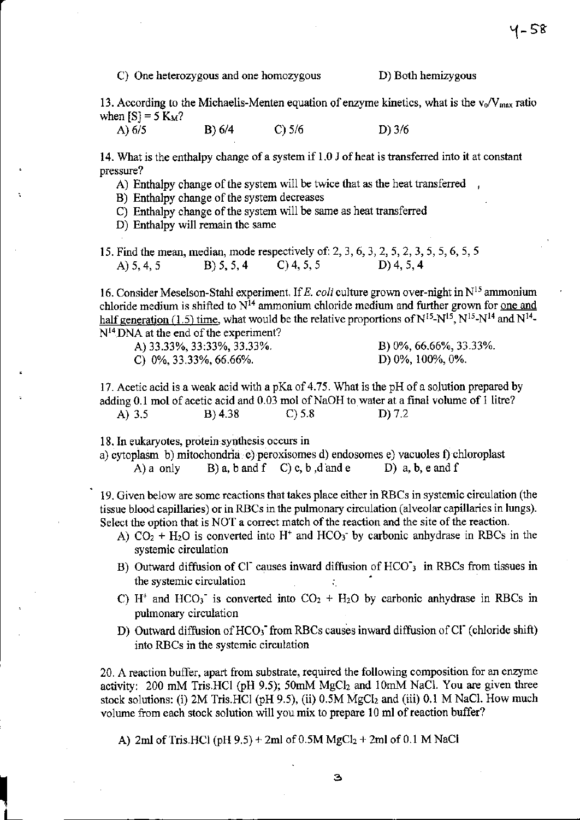C) One heterozygous and one homozygous

D) Both hemizygous

13. According to the Michaelis-Menten equation of enzyme kinetics, what is the  $v_0/V_{max}$  ratio when  $[S] = 5$  K<sub>M</sub>?

A)  $6/5$  $B) 6/4$  $C$ ) 5/6  $D) 3/6$ 

14. What is the enthalpy change of a system if 1.0 J of heat is transferred into it at constant pressure?

A) Enthalpy change of the system will be twice that as the heat transferred,

B) Enthalpy change of the system decreases

C) Enthalpy change of the system will be same as heat transferred

D) Enthalpy will remain the same

15. Find the mean, median, mode respectively of: 2, 3, 6, 3, 2, 5, 2, 3, 5, 5, 6, 5, 5  $B) 5, 5, 4$  $C$ ) 4, 5, 5  $D)$  4, 5, 4 A)  $5, 4, 5$ 

16. Consider Meselson-Stahl experiment. If E. coli culture grown over-night in  $N^{15}$  ammonium chloride medium is shifted to  $N^{14}$  ammonium chloride medium and further grown for <u>one and</u> half generation (1.5) time, what would be the relative proportions of  $N^{15}$ - $N^{15}$ ,  $N^{15}$ - $N^{14}$  and  $N^{14}$ -N<sup>14</sup> DNA at the end of the experiment?

| A) 33.33%, 33:33%, 33.33%. |  | B) 0%, 66.66%, 33.33%. |
|----------------------------|--|------------------------|
| C) $0\%$ , 33.33%, 66.66%. |  | D) 0%, 100%, 0%.       |

17. Acetic acid is a weak acid with a pKa of 4.75. What is the pH of a solution prepared by adding 0.1 mol of acetic acid and 0.03 mol of NaOH to water at a final volume of 1 litre? A) 3.5  $B) 4.38$  $C$ ) 5.8  $D) 7.2$ 

18. In eukaryotes, protein synthesis occurs in

a) cytoplasm b) mitochondria c) peroxisomes d) endosomes e) vacuoles f) chloroplast B) a, b and f  $C$ ) c, b, d and e D)  $a, b, e$  and  $f$  $A)$  a only

19. Given below are some reactions that takes place either in RBCs in systemic circulation (the tissue blood capillaries) or in RBCs in the pulmonary circulation (alveolar capillaries in lungs). Select the option that is NOT a correct match of the reaction and the site of the reaction.

- A)  $CO<sub>2</sub> + H<sub>2</sub>O$  is converted into H<sup>+</sup> and HCO<sub>3</sub><sup>-</sup> by carbonic anhydrase in RBCs in the systemic circulation
- B) Outward diffusion of Cl causes inward diffusion of HCO'<sub>3</sub> in RBCs from tissues in the systemic circulation
- C) H<sup>+</sup> and HCO<sub>3</sub><sup>-</sup> is converted into CO<sub>2</sub> + H<sub>2</sub>O by carbonic anhydrase in RBCs in pulmonary circulation
- D) Outward diffusion of HCO<sub>3</sub> from RBCs causes inward diffusion of Cl (chloride shift) into RBCs in the systemic circulation

20. A reaction buffer, apart from substrate, required the following composition for an enzyme activity: 200 mM Tris.HCl (pH 9.5); 50mM MgCl<sub>2</sub> and 10mM NaCl. You are given three stock solutions: (i) 2M Tris.HCl (pH 9.5), (ii) 0.5M MgCl<sub>2</sub> and (iii) 0.1 M NaCl. How much volume from each stock solution will you mix to prepare 10 ml of reaction buffer?

A) 2ml of Tris.HCl (pH 9.5) + 2ml of 0.5M  $MgCl_2 + 2ml$  of 0.1 M NaCl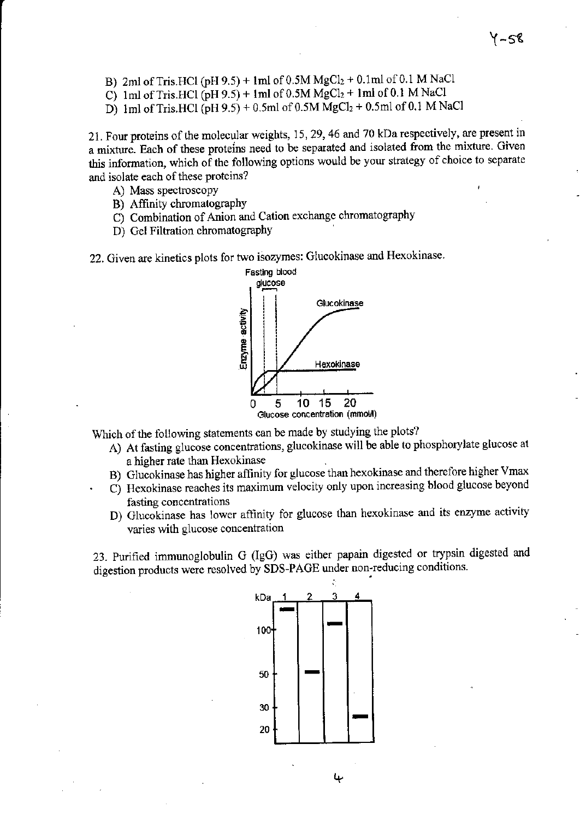- B) 2ml of Tris.HCl (pH 9.5) + 1ml of  $0.5M$  MgCl<sub>2</sub> + 0.1ml of 0.1 M NaCl
- C) 1ml of Tris.HCl  $(pH 9.5)$  + 1ml of 0.5M MgCl<sub>2</sub> + 1ml of 0.1 M NaCl
- D) 1ml of Tris.HCl  $(pH 9.5) + 0.5$ ml of 0.5M MgCl<sub>2</sub> + 0.5ml of 0.1 M NaCl

21. Four proteins of the molecular weights, 15,29,46 and 70 kDa respectively, are present in a mixture. Each of these proteins need to be separated and isolated from the mixture. Given this information, which of the following options would be your strategy of choice to separate and isolate each of these proteins?

- A) Mass spectroscopy
- B) Affinity chromatography
- C) Combination of Anion and Cation exchange chromatography
- D) Gel Filtration chromatography

22. Given are kinetics plots for two isozymes: Glucokinase and Hexokinase



Which of the following statements can be made by studying the plots?

- A) At fasting glucose concentrations, glucokinase will be able to phosphorylate glucose at a higher rate than Hexokinase
- B) Glucokinase has higher affinity for glucose than hexokinase and therefore higher Vmax
- C) Hexokinase reaches its maximum velocity only upon increasing blood glucose beyond fasting concentations
- D) Glucokinase has lower affinity for glucose than hexokinase and its enzyme activity varies with glucose concentation

23. Purified immunoglobulin G (IgG) was either papain digested or trypsin digested and digestion products were resolved by SDS-PAGE under non-reducing conditions.

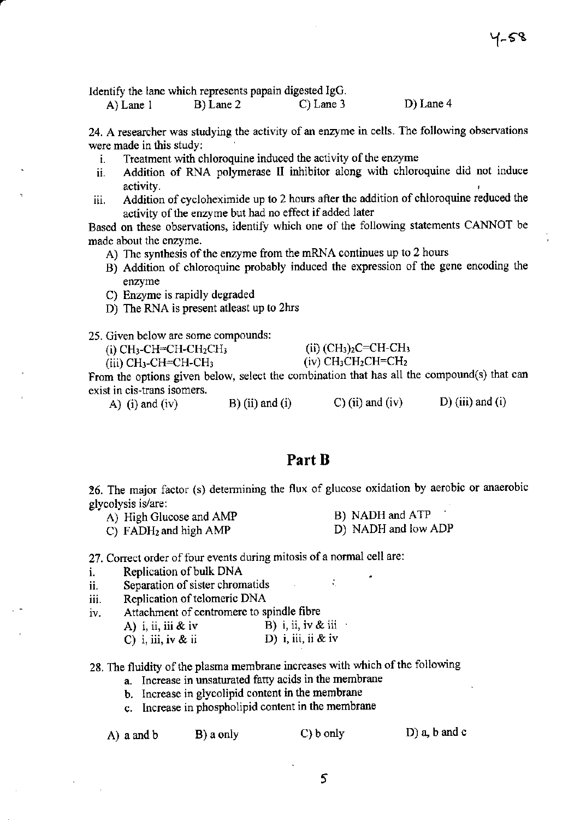D) Lane 4

Identify the lane which represents papain digested IgG.

B) Lane 2  $C)$  Lane 3  $A)$  Lane 1

24. A researcher was studying the activity of an enzyme in cells. The following observations were made in this study:

- Treatment with chloroquine induced the activity of the enzyme i.
- Addition of RNA polymerase II inhibitor along with chloroquine did not induce ii. activity.
- Addition of cycloheximide up to 2 hours after the addition of chloroquine reduced the iii. activity of the enzyme but had no effect if added later

Based on these observations, identify which one of the following statements CANNOT be made about the enzyme.

- A) The synthesis of the enzyme from the mRNA continues up to 2 hours
- B) Addition of chloroquine probably induced the expression of the gene encoding the enzyme
- C) Enzyme is rapidly degraded
- D) The RNA is present at least up to 2hrs
- 25. Given below are some compounds:

| (i) CH3-CH=CH-CH2CH3  | (ii) $(CH_3)_2C=CH-CH_3$                                  |
|-----------------------|-----------------------------------------------------------|
| (iii) CH3-CH=CH-CH3 . | $(iv)$ CH <sub>3</sub> CH <sub>2</sub> CH=CH <sub>2</sub> |

 $(iii)$  CH<sub>3</sub>-CH=CH-CH<sub>3</sub>

From the options given below, select the combination that has all the compound(s) that can exist in cis-trans isomers.

 $B)$  (ii) and (i)  $C$ ) (ii) and (iv)  $D$ ) (iii) and (i) A) (i) and (iv)

## Part B

26. The major factor (s) determining the flux of glucose oxidation by aerobic or anaerobic glycolysis is/are:

 $\mathcal{L}_{\mathcal{L}}$ 

- A) High Glucose and AMP
- B) NADH and ATP D) NADH and low ADP C) FADH<sub>2</sub> and high AMP

27. Correct order of four events during mitosis of a normal cell are:

- Replication of bulk DNA i.
- Separation of sister chromatids ii.
- Replication of telomeric DNA iii.
- Attachment of centromere to spindle fibre iv.

|                    | B) i, ii, iv & iii |
|--------------------|--------------------|
| A) i, ii, iii & iv |                    |
|                    |                    |

|  | C) i, iii, iv & ii |  |  | D) i, iii, ii & iv |  |  |  |  |  |
|--|--------------------|--|--|--------------------|--|--|--|--|--|
|--|--------------------|--|--|--------------------|--|--|--|--|--|

28. The fluidity of the plasma membrane increases with which of the following

- a. Increase in unsaturated fatty acids in the membrane
- b. Increase in glycolipid content in the membrane
- c. Increase in phospholipid content in the membrane

|  | A) a and b |  |
|--|------------|--|
|  |            |  |

B) a only

 $C$ )  $b$  only

 $D$ ) a, b and c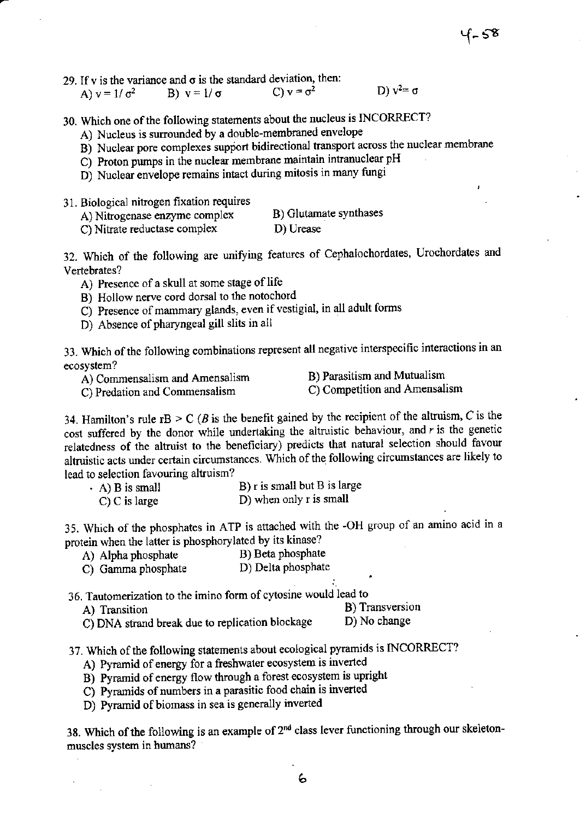29. If v is the variance and  $\sigma$  is the standard deviation, then:

| A) $v = 1/\sigma^2$ | B) $v = 1/\sigma$ | C) $v = \sigma^2$ | D) $v^2 = \sigma$ |
|---------------------|-------------------|-------------------|-------------------|

- 30. Which one of the following statements about the nucleus is INCORRECT?
	- A) Nucleus is surrounded by a double-membraned envelope
	- B) Nuclear pore complexes support bidirectional transport across the nuclear membrane
	- C) Proton pumps in the nuclear membrane maintain intranuclear pH
	- D) Nuclear envelope remains intact during mitosis in many fungi
- 31. Biologicaj ninogen fixation requires
	- A) Nitrogenase enzyme complex B) Glutamate synthases<br>C) Nitrate reductase complex D) Urease
	- C) Nitrate reductase complex

32. Which of the following are unirying features of Cephalochordates, Urochordates and Vertebrates?

- A) Presence of a skull at some stage of life
- B) Hollow nerve cord dorsal to the notochord
- C) Presence of mammary glands, even if vestigial, in all adult forms
- D) Absence of pharyngeal gill slits in all

ecosystem? 33. Which of the following combinations represent all negative interspecific interactions in an

A) Commensalism and Amensalism

B) Parasitism and Mutualism C) Competition and Amensalism

C) Predation and Commensalism

A) Transition

34. Hamilton's rule  $rB > C$  (*B* is the benefit gained by the recipient of the altruism, *C* is the cost suffered by the donor while undertaking the altruistic behaviour, and  $r$  is the genetic relatedness of the altruist to the beneficiary) predicts that natural selection should favour altruistic acts under certain circumstances. Which of the following circumstances are likely to lead to selection favouring altruism?

| $(A)$ B is small | B) r is small but B is large |
|------------------|------------------------------|
| $C$ ) C is large | D) when only r is small      |

35. Which of the phosphates in ATP is attached with the -OH group of an amino acid in <sup>a</sup> protein when the latter is phosphorylated by its kinase?<br>A) Alpha phosphate B) Beta phosphate

- A) Alpha phosphate B) Beta phosphate<br>
C) Gamma phosphate B) Delta phosphate
- C) Gamma phosphate
- 36. Tautomerization to the imino form of cytosine would lead to

B) Transversion

- D) No change C) DNA strand break due to replication blockage
- 37. Which of the following statements about ecological pyramids is INCORRECT?
	- A) Pyramid of energy for a freshwater ecosystem is inverted
	- B) Pyramid of energy flow through a forest ecosystem is upright
	- $\overrightarrow{C}$ ) Pyramids of numbers in a parasitic food chain is inverted
	- D) Pyramid of biomass in sea is generally inverted

38. Which of the following is an example of  $2^{nd}$  class lever functioning through our skeletonmuscles system in humans?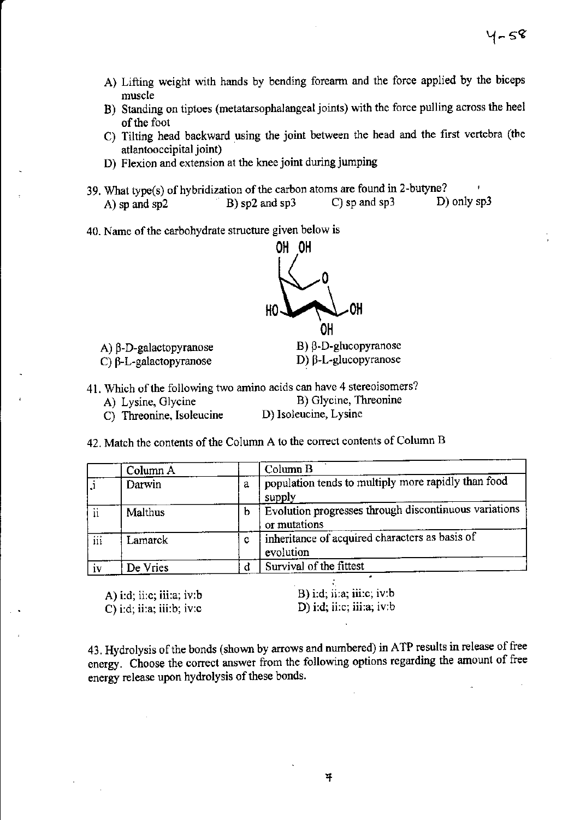- A) Lifting weight with hands by bending forearm and the force applied by the biceps muscle
- B) Standing on tiptoes (metatarsophalangeal joints) with the force pulling across the heel of the foot
- C) Tilting head backward using the joint between the head and the first vertebra (the atlantooccipital joint)
- D) Flexion and extension at the knee joint during jumping
- 39. What type(s) of hybridization of the carbon atoms are found in 2-butyne? D) only sp3  $C$ ) sp and sp3  $B)$  sp2 and sp3  $A)$  sp and sp2
- 40. Name of the carbohydrate structure given below is



A)  $β$ -D-galactopyranose C)  $\beta$ -L-galactopyranose

 $B)$   $\beta$ -D-glucopyranose D)  $\beta$ -L-glucopyranose

- 41. Which of the following two amino acids can have 4 stereoisomers?
	- A) Lysine, Glycine

B) Glycine, Threonine

- D) Isoleucine, Lysine C) Threonine, Isoleucine
- 42. Match the contents of the Column A to the correct contents of Column B

|     | Column A |   | Column <sub>B</sub>                                                   |
|-----|----------|---|-----------------------------------------------------------------------|
| I.i | Darwin   | a | population tends to multiply more rapidly than food<br>supply         |
| ii  | Malthus  | b | Evolution progresses through discontinuous variations<br>or mutations |
| iii | Lamarck  | c | inheritance of acquired characters as basis of<br>evolution           |
| iv  | De Vries |   | Survival of the fittest                                               |

A) i:d; ii:c; iii:a; iv:b C) i:d; ii:a; iii:b; iv:c

B) i:d; ii:a; iii:c; iv:b D) i:d; ii:e; iii:a; iv:b

43. Hydrolysis of the bonds (shown by arrows and numbered) in ATP results in release of free energy. Choose the correct answer from the following options regarding the amount of free energy release upon hydrolysis of these bonds.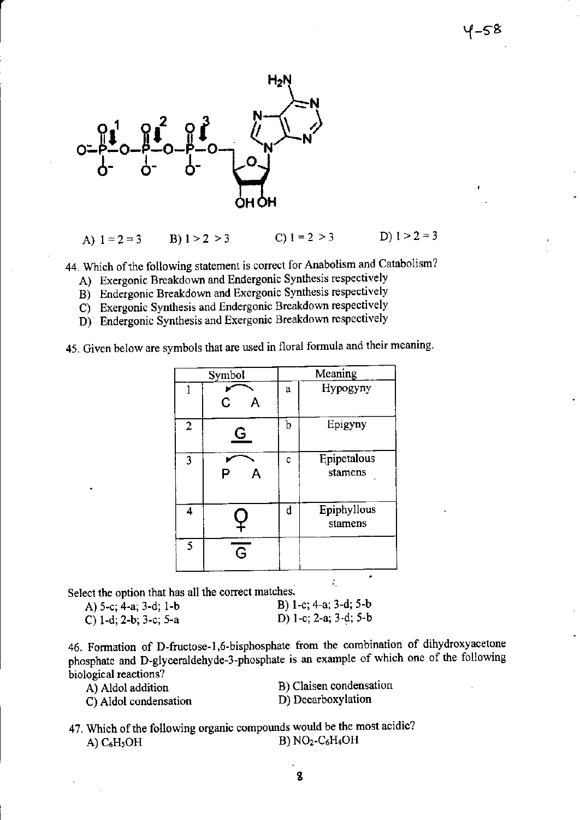

C)  $1 = 2 > 3$ D)  $1 > 2 = 3$ A)  $1 = 2 = 3$ B)  $1 > 2 > 3$ 

44. Which of the following statement is correct for Anabolism and Catabolism?

- A) Exergonic Breakdown and Endergonic Synthesis respectively
- B) Endergonic Breakdown and Exergonic Synthesis respectively
- C) Exergonic Synthesis and Endergonic Breakdown respectively
- D) Endergonic Synthesis and Exergonic Breakdown respectively

45. Given below are symbols that are used in floral formula and their meaning.

| Symbol         |                |   | Meaning                |
|----------------|----------------|---|------------------------|
| 1              | C              | a | Hypogyny               |
| $\overline{2}$ | G              | b | Epigyny                |
| 3              |                | ¢ | Epipetalous<br>stamens |
| 4              |                | d | Epiphyllous<br>stamens |
| 5              | $\overline{G}$ |   |                        |

Select the option that has all the correct matches.

| A) 5-c; 4-a; 3-d; 1-b | B) 1-c; 4-a; 3-d; 5-b |
|-----------------------|-----------------------|
| C) 1-d; 2-b; 3-c; 5-a | D) 1-c; 2-a; 3-d; 5-b |

46. Formation of D-fructose-1,6-bisphosphate from the combination of dihydroxyacetone phosphate and D-glyceraldehyde-3-phosphate is an example of which one of the following biological reactions?

A) Aldol addition

C) Aldol condensation

B) Claisen condensation D) Decarboxylation

÷,

47. Which of the following organic compounds would be the most acidic?  $B) NO<sub>2</sub>-C<sub>6</sub>H<sub>4</sub>OH$ A)  $C_6H_5OH$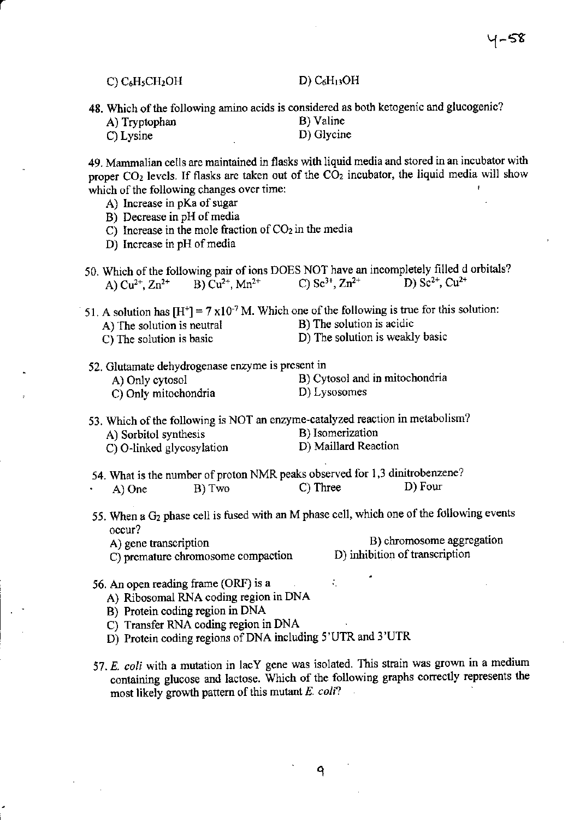|               | 48. Which of the following amino acids is considered as both ketogenic and glucogenic? |
|---------------|----------------------------------------------------------------------------------------|
| A) Tryptophan | B) Valine                                                                              |
| C) Lysine     | D) Glycine                                                                             |

49. Mammalian cells are maintained in flasks with liquid media and stored in an ircubator with proper  $CO<sub>2</sub>$  levels. If flasks are taken out of the  $CO<sub>2</sub>$  incubator, the liquid media will show which of the following changes over time:

- A) lncrease in pKa of sugar
- B) Decrease in pH of media
- C) Increase in the mole fraction of  $CO<sub>2</sub>$  in the media
- D) Increase in pH of media
- 50. Which of the following pair of ions DOES NOT have an incompletely filled d orbitals?<br>A)  $Cu^{2+}$ ,  $Zn^{2+}$  B)  $Cu^{2+}$ ,  $Mn^{2+}$  C)  $Sc^{3+}$ ,  $Zn^{2+}$  D)  $Sc^{2+}$ ,  $Cu^{2+}$ A)  $Cu^{2+}$ ,  $Zn^{2+}$

51. A solution has  $[H^+] = 7 \times 10^{-7}$  M. Which one of the following is true for this solution:<br>A) The solution is neutral B) The solution is acidic A) The solution is neutral

- 
- C) The solution is basic D) The solution is weakly basic
- 52. Glutamate dehydrogenase enzyme is present in
	-
	- C) Only mitochondria

A) Only cytosol B) Cytosol and in mitochondria<br>C) Only mitochondria D) Lysosomes

- 53. Which of the following is NOT an enzyme-catalyzed reaction in metabolism?<br>A) Sorbitol synthesis B) Isomerization A) Sorbitol synthesis B) Isomerization<br>C) O-linked glycosylation D) Maillard Reaction C) O-linked glycosylation
- 54. What is the number of proton NMR peaks observed for 1,3 dinitrobenzene? A) One B) Two C) Three D) Four
- 55. When a  $G_2$  phase cell is fused with an M phase cell, which one of the following events occur?

÷.

C) premature chromosome compaction

A) gene transcription<br>
C) premature chromosome compaction<br>
D) inhibition of transcription

- 56. An open reading frame (ORF) is <sup>a</sup>
	- A) Ribosomal RNA coding region in DNA
	- B) Protein coding region in DNA
	- C) Transfer RNA coding region in DNA
	- D) Protein coding regions of DNA including 5'UTR and 3'UTR
- 57. E. coli with a mutation in lacY gene was isolated. This strain was grown in a medium containing glucose and lactose. Which of the following graphs correctly represents the most likely growth pattern of this mutant '' coli?